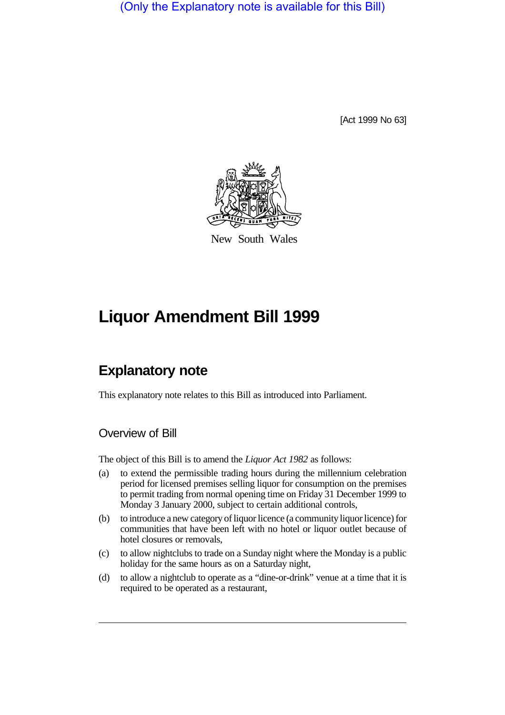(Only the Explanatory note is available for this Bill)

[Act 1999 No 63]



New South Wales

# **Liquor Amendment Bill 1999**

# **Explanatory note**

This explanatory note relates to this Bill as introduced into Parliament.

# Overview of Bill

The object of this Bill is to amend the *Liquor Act 1982* as follows:

- (a) to extend the permissible trading hours during the millennium celebration period for licensed premises selling liquor for consumption on the premises to permit trading from normal opening time on Friday 31 December 1999 to Monday 3 January 2000, subject to certain additional controls,
- (b) to introduce a new category of liquor licence (a community liquor licence) for communities that have been left with no hotel or liquor outlet because of hotel closures or removals,
- (c) to allow nightclubs to trade on a Sunday night where the Monday is a public holiday for the same hours as on a Saturday night,
- (d) to allow a nightclub to operate as a "dine-or-drink" venue at a time that it is required to be operated as a restaurant,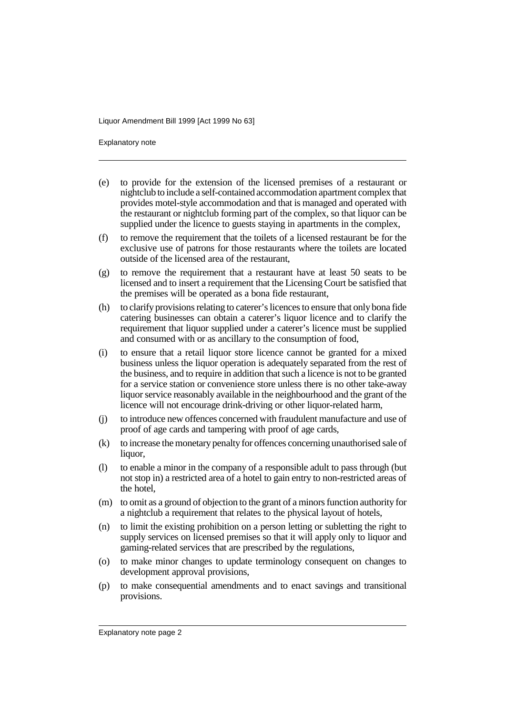Explanatory note

- (e) to provide for the extension of the licensed premises of a restaurant or nightclub to include a self-contained accommodation apartment complex that provides motel-style accommodation and that is managed and operated with the restaurant or nightclub forming part of the complex, so that liquor can be supplied under the licence to guests staying in apartments in the complex,
- (f) to remove the requirement that the toilets of a licensed restaurant be for the exclusive use of patrons for those restaurants where the toilets are located outside of the licensed area of the restaurant,
- (g) to remove the requirement that a restaurant have at least 50 seats to be licensed and to insert a requirement that the Licensing Court be satisfied that the premises will be operated as a bona fide restaurant,
- (h) to clarify provisions relating to caterer's licences to ensure that only bona fide catering businesses can obtain a caterer's liquor licence and to clarify the requirement that liquor supplied under a caterer's licence must be supplied and consumed with or as ancillary to the consumption of food,
- (i) to ensure that a retail liquor store licence cannot be granted for a mixed business unless the liquor operation is adequately separated from the rest of the business, and to require in addition that such a licence is not to be granted for a service station or convenience store unless there is no other take-away liquor service reasonably available in the neighbourhood and the grant of the licence will not encourage drink-driving or other liquor-related harm,
- (j) to introduce new offences concerned with fraudulent manufacture and use of proof of age cards and tampering with proof of age cards,
- (k) to increase the monetary penalty for offences concerning unauthorised sale of liquor,
- (l) to enable a minor in the company of a responsible adult to pass through (but not stop in) a restricted area of a hotel to gain entry to non-restricted areas of the hotel,
- (m) to omit as a ground of objection to the grant of a minors function authority for a nightclub a requirement that relates to the physical layout of hotels,
- (n) to limit the existing prohibition on a person letting or subletting the right to supply services on licensed premises so that it will apply only to liquor and gaming-related services that are prescribed by the regulations,
- (o) to make minor changes to update terminology consequent on changes to development approval provisions,
- (p) to make consequential amendments and to enact savings and transitional provisions.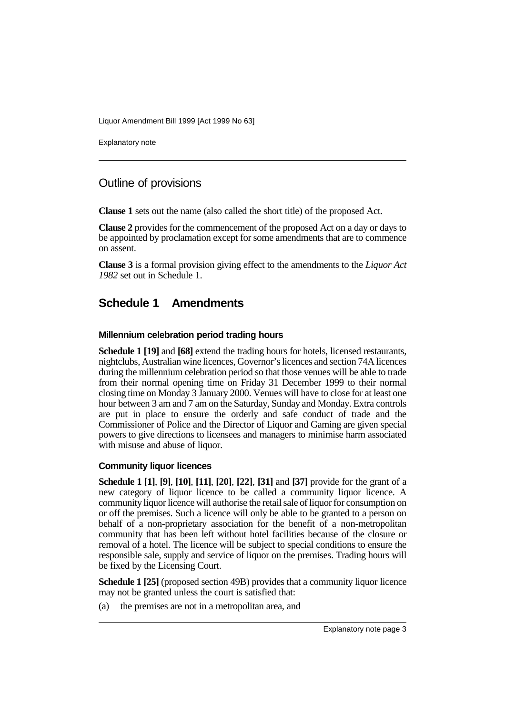Explanatory note

### Outline of provisions

**Clause 1** sets out the name (also called the short title) of the proposed Act.

**Clause 2** provides for the commencement of the proposed Act on a day or days to be appointed by proclamation except for some amendments that are to commence on assent.

**Clause 3** is a formal provision giving effect to the amendments to the *Liquor Act 1982* set out in Schedule 1.

## **Schedule 1 Amendments**

#### **Millennium celebration period trading hours**

**Schedule 1 [19]** and **[68]** extend the trading hours for hotels, licensed restaurants, nightclubs, Australian wine licences, Governor's licences and section 74A licences during the millennium celebration period so that those venues will be able to trade from their normal opening time on Friday 31 December 1999 to their normal closing time on Monday 3 January 2000. Venues will have to close for at least one hour between 3 am and 7 am on the Saturday, Sunday and Monday. Extra controls are put in place to ensure the orderly and safe conduct of trade and the Commissioner of Police and the Director of Liquor and Gaming are given special powers to give directions to licensees and managers to minimise harm associated with misuse and abuse of liquor.

#### **Community liquor licences**

**Schedule 1 [1]**, **[9]**, **[10]**, **[11]**, **[20]**, **[22]**, **[31]** and **[37]** provide for the grant of a new category of liquor licence to be called a community liquor licence. A community liquor licence will authorise the retail sale of liquor for consumption on or off the premises. Such a licence will only be able to be granted to a person on behalf of a non-proprietary association for the benefit of a non-metropolitan community that has been left without hotel facilities because of the closure or removal of a hotel. The licence will be subject to special conditions to ensure the responsible sale, supply and service of liquor on the premises. Trading hours will be fixed by the Licensing Court.

**Schedule 1 [25]** (proposed section 49B) provides that a community liquor licence may not be granted unless the court is satisfied that:

(a) the premises are not in a metropolitan area, and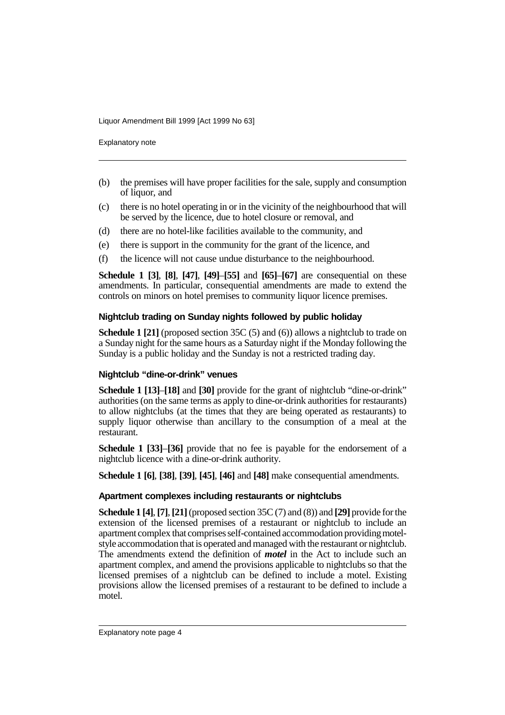Explanatory note

- (b) the premises will have proper facilities for the sale, supply and consumption of liquor, and
- (c) there is no hotel operating in or in the vicinity of the neighbourhood that will be served by the licence, due to hotel closure or removal, and
- (d) there are no hotel-like facilities available to the community, and
- (e) there is support in the community for the grant of the licence, and
- (f) the licence will not cause undue disturbance to the neighbourhood.

**Schedule 1 [3]**, **[8]**, **[47]**, **[49]**–**[55]** and **[65]**–**[67]** are consequential on these amendments. In particular, consequential amendments are made to extend the controls on minors on hotel premises to community liquor licence premises.

#### **Nightclub trading on Sunday nights followed by public holiday**

**Schedule 1 [21]** (proposed section 35C (5) and (6)) allows a nightclub to trade on a Sunday night for the same hours as a Saturday night if the Monday following the Sunday is a public holiday and the Sunday is not a restricted trading day.

#### **Nightclub "dine-or-drink" venues**

**Schedule 1 [13]**–**[18]** and **[30]** provide for the grant of nightclub "dine-or-drink" authorities (on the same terms as apply to dine-or-drink authorities for restaurants) to allow nightclubs (at the times that they are being operated as restaurants) to supply liquor otherwise than ancillary to the consumption of a meal at the restaurant.

**Schedule 1 [33]**–**[36]** provide that no fee is payable for the endorsement of a nightclub licence with a dine-or-drink authority.

**Schedule 1 [6]**, **[38]**, **[39]**, **[45]**, **[46]** and **[48]** make consequential amendments.

#### **Apartment complexes including restaurants or nightclubs**

**Schedule 1 [4]**, **[7]**, **[21]** (proposed section 35C (7) and (8)) and **[29]** provide for the extension of the licensed premises of a restaurant or nightclub to include an apartment complex that comprises self-contained accommodation providing motelstyle accommodation that is operated and managed with the restaurant or nightclub. The amendments extend the definition of *motel* in the Act to include such an apartment complex, and amend the provisions applicable to nightclubs so that the licensed premises of a nightclub can be defined to include a motel. Existing provisions allow the licensed premises of a restaurant to be defined to include a motel.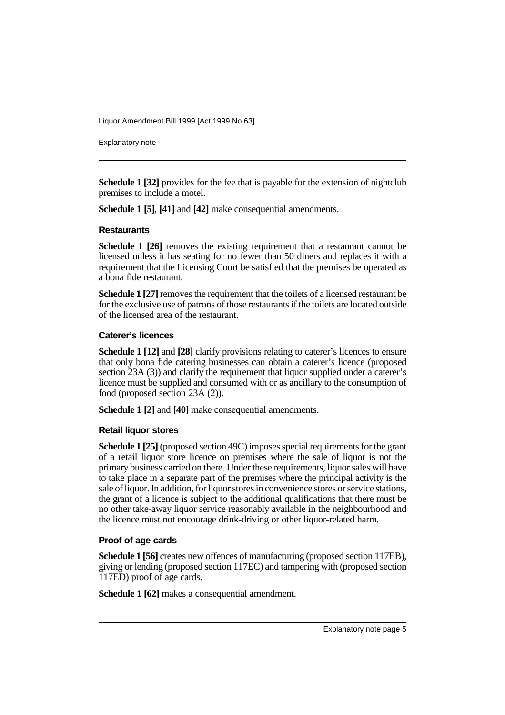Explanatory note

**Schedule 1 [32]** provides for the fee that is payable for the extension of nightclub premises to include a motel.

**Schedule 1 [5]**, **[41]** and **[42]** make consequential amendments.

#### **Restaurants**

**Schedule 1 [26]** removes the existing requirement that a restaurant cannot be licensed unless it has seating for no fewer than 50 diners and replaces it with a requirement that the Licensing Court be satisfied that the premises be operated as a bona fide restaurant.

**Schedule 1 [27]** removes the requirement that the toilets of a licensed restaurant be for the exclusive use of patrons of those restaurants if the toilets are located outside of the licensed area of the restaurant.

#### **Caterer's licences**

**Schedule 1 [12]** and **[28]** clarify provisions relating to caterer's licences to ensure that only bona fide catering businesses can obtain a caterer's licence (proposed section 23A (3)) and clarify the requirement that liquor supplied under a caterer's licence must be supplied and consumed with or as ancillary to the consumption of food (proposed section 23A (2)).

**Schedule 1 [2]** and **[40]** make consequential amendments.

#### **Retail liquor stores**

**Schedule 1 [25]** (proposed section 49C) imposes special requirements for the grant of a retail liquor store licence on premises where the sale of liquor is not the primary business carried on there. Under these requirements, liquor sales will have to take place in a separate part of the premises where the principal activity is the sale of liquor. In addition, for liquor stores in convenience stores or service stations, the grant of a licence is subject to the additional qualifications that there must be no other take-away liquor service reasonably available in the neighbourhood and the licence must not encourage drink-driving or other liquor-related harm.

#### **Proof of age cards**

**Schedule 1 [56]** creates new offences of manufacturing (proposed section 117EB), giving or lending (proposed section 117EC) and tampering with (proposed section 117ED) proof of age cards.

**Schedule 1 [62]** makes a consequential amendment.